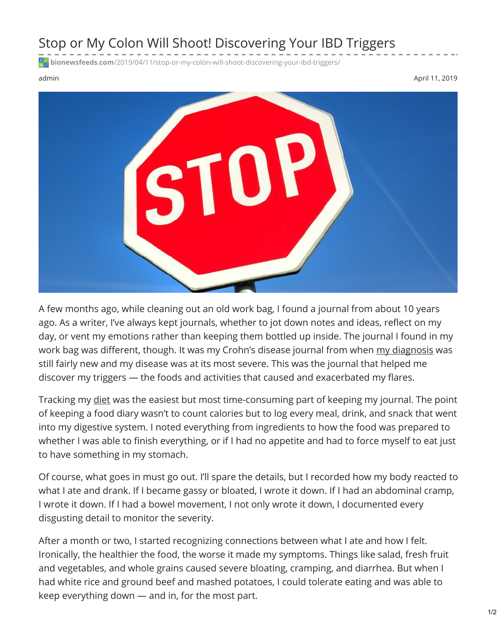## Stop or My Colon Will Shoot! Discovering Your IBD Triggers

**bionewsfeeds.com**[/2019/04/11/stop-or-my-colon-will-shoot-discovering-your-ibd-triggers/](https://bionewsfeeds.com/2019/04/11/stop-or-my-colon-will-shoot-discovering-your-ibd-triggers/)

admin April 11, 2019



A few months ago, while cleaning out an old work bag, I found a journal from about 10 years ago. As a writer, I've always kept journals, whether to jot down notes and ideas, reflect on my day, or vent my emotions rather than keeping them bottled up inside. The journal I found in my work bag was different, though. It was my Crohn's disease journal from when my [diagnosis](https://ibdnewstoday.com/2019/03/28/intestinal-fortitude-survivors-guide-ibd/) was still fairly new and my disease was at its most severe. This was the journal that helped me discover my triggers — the foods and activities that caused and exacerbated my flares.

Tracking my [diet](https://www.ncbi.nlm.nih.gov/pmc/articles/PMC4843040/) was the easiest but most time-consuming part of keeping my journal. The point of keeping a food diary wasn't to count calories but to log every meal, drink, and snack that went into my digestive system. I noted everything from ingredients to how the food was prepared to whether I was able to finish everything, or if I had no appetite and had to force myself to eat just to have something in my stomach.

Of course, what goes in must go out. I'll spare the details, but I recorded how my body reacted to what I ate and drank. If I became gassy or bloated, I wrote it down. If I had an abdominal cramp, I wrote it down. If I had a bowel movement, I not only wrote it down, I documented every disgusting detail to monitor the severity.

After a month or two, I started recognizing connections between what I ate and how I felt. Ironically, the healthier the food, the worse it made my symptoms. Things like salad, fresh fruit and vegetables, and whole grains caused severe bloating, cramping, and diarrhea. But when I had white rice and ground beef and mashed potatoes, I could tolerate eating and was able to keep everything down — and in, for the most part.